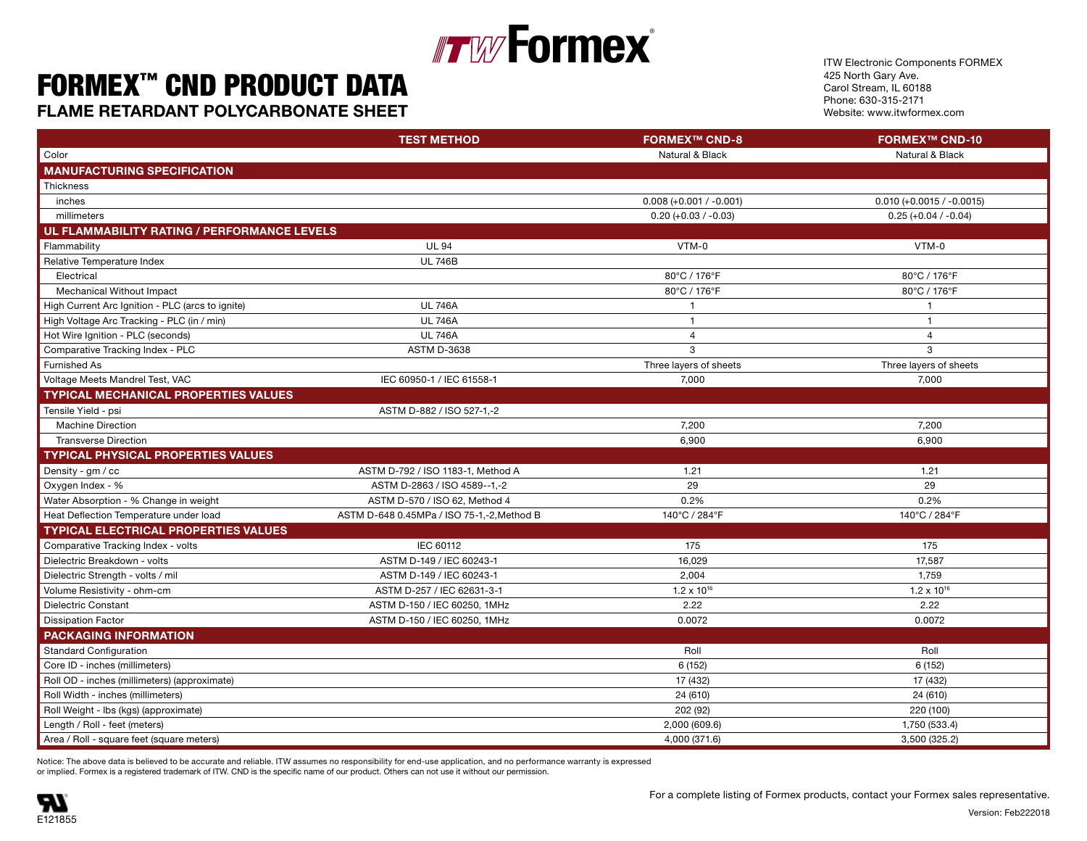### **Formex**® Finally with  $\mathbb{F}_{\mathbf{z}}$  in the set of  $\mathbb{F}_{\mathbf{z}}$  is the set of  $\mathbb{F}_{\mathbf{z}}$  is the set of  $\mathbb{F}_{\mathbf{z}}$  is the set of  $\mathbb{F}_{\mathbf{z}}$  is the set of  $\mathbb{F}_{\mathbf{z}}$  is the set of  $\mathbb{F}_{\mathbf{z}}$  is the set of  $\mathbb{$

#### FORMEX™ CND PRODUCT DATA  $\text{UNILA}$  is the  $\text{UNL}$   $\text{Cov}$   $\text{Cov}$   $\text{Cov}$   $\text{Cov}$   $\text{Cov}$  $\text{Cov}$  $\text{Cov}$  $\text{Cov}$  $\text{Cov}$  $\text{Cov}$  $\text{Cov}$  $\text{Cov}$  $\text{Cov}$  $\text{Cov}$  $\text{Cov}$  $\text{Cov}$  $\text{Cov}$  $\text{Cov}$  $\text{Cov}$  $\text{Cov}$  $\text{Cov}$  $\text{Cov}$  $\text{Cov}$  $\text{Cov}$

**FLAME RETARDANT POLYCARBONATE SHEET SHEET Example 23 and 23 and 339°F 115°C/ 239°F 115°C/ 239°F 115°C/ 239°F 115°C/ 239°F 115°C/ 239°F 115°C/ 239°F 115°C/ 239°F 115°C/ 239°F 115°C/ 239°F 115°C/ 239°F 115°C/ 239°F 115°** 

ITW Electronic Components FORMEX 425 North Gary Ave. Carol Stream, IL 60188 Phone: 630-315-2171 Website: www.itwformex.com

|                                                  | <b>TEST METHOD</b>                         | <b>FORMEX™ CND-8</b>      | <b>FORMEX™ CND-10</b>       |
|--------------------------------------------------|--------------------------------------------|---------------------------|-----------------------------|
| Color                                            |                                            | Natural & Black           | Natural & Black             |
| <b>MANUFACTURING SPECIFICATION</b>               |                                            |                           |                             |
| Thickness                                        |                                            |                           |                             |
| inches                                           |                                            | $0.008 (+0.001 / -0.001)$ | $0.010 (+0.0015 / -0.0015)$ |
| millimeters                                      |                                            | $0.20 (+0.03 / -0.03)$    | $0.25 (+0.04 / -0.04)$      |
| UL FLAMMABILITY RATING / PERFORMANCE LEVELS      |                                            |                           |                             |
| Flammability                                     | <b>UL 94</b>                               | VTM-0                     | VTM-0                       |
| Relative Temperature Index                       | <b>UL 746B</b>                             |                           |                             |
| Electrical                                       |                                            | 80°C / 176°F              | 80°C / 176°F                |
| Mechanical Without Impact                        |                                            | 80°C / 176°F              | 80°C / 176°F                |
| High Current Arc Ignition - PLC (arcs to ignite) | <b>UL 746A</b>                             | $\overline{1}$            | $\overline{1}$              |
| High Voltage Arc Tracking - PLC (in / min)       | <b>UL 746A</b>                             | $\overline{1}$            | $\overline{1}$              |
| Hot Wire Ignition - PLC (seconds)                | <b>UL 746A</b>                             | $\overline{4}$            | $\overline{4}$              |
| Comparative Tracking Index - PLC                 | <b>ASTM D-3638</b>                         | 3                         | $\mathbf{3}$                |
| Furnished As                                     |                                            | Three layers of sheets    | Three layers of sheets      |
| Voltage Meets Mandrel Test, VAC                  | IEC 60950-1 / IEC 61558-1                  | 7,000                     | 7,000                       |
| <b>TYPICAL MECHANICAL PROPERTIES VALUES</b>      |                                            |                           |                             |
| Tensile Yield - psi                              | ASTM D-882 / ISO 527-1,-2                  |                           |                             |
| <b>Machine Direction</b>                         |                                            | 7,200                     | 7,200                       |
| <b>Transverse Direction</b>                      |                                            | 6,900                     | 6,900                       |
| <b>TYPICAL PHYSICAL PROPERTIES VALUES</b>        |                                            |                           |                             |
| Density - gm / cc                                | ASTM D-792 / ISO 1183-1, Method A          | 1.21                      | 1.21                        |
| Oxygen Index - %                                 | ASTM D-2863 / ISO 4589--1,-2               | 29                        | 29                          |
| Water Absorption - % Change in weight            | ASTM D-570 / ISO 62, Method 4              | 0.2%                      | 0.2%                        |
| Heat Deflection Temperature under load           | ASTM D-648 0.45MPa / ISO 75-1,-2, Method B | 140°C / 284°F             | 140°C / 284°F               |
| <b>TYPICAL ELECTRICAL PROPERTIES VALUES</b>      |                                            |                           |                             |
| Comparative Tracking Index - volts               | IEC 60112                                  | 175                       | 175                         |
| Dielectric Breakdown - volts                     | ASTM D-149 / IEC 60243-1                   | 16,029                    | 17,587                      |
| Dielectric Strength - volts / mil                | ASTM D-149 / IEC 60243-1                   | 2,004                     | 1,759                       |
| Volume Resistivity - ohm-cm                      | ASTM D-257 / IEC 62631-3-1                 | $1.2 \times 10^{16}$      | $1.2 \times 10^{16}$        |
| <b>Dielectric Constant</b>                       | ASTM D-150 / IEC 60250, 1MHz               | 2.22                      | 2.22                        |
| <b>Dissipation Factor</b>                        | ASTM D-150 / IEC 60250, 1MHz               | 0.0072                    | 0.0072                      |
| <b>PACKAGING INFORMATION</b>                     |                                            |                           |                             |
| Standard Configuration                           |                                            | Roll                      | Roll                        |
| Core ID - inches (millimeters)                   |                                            | 6 (152)                   | 6 (152)                     |
| Roll OD - inches (millimeters) (approximate)     |                                            | 17 (432)                  | 17 (432)                    |
| Roll Width - inches (millimeters)                |                                            | 24 (610)                  | 24 (610)                    |
| Roll Weight - Ibs (kgs) (approximate)            |                                            | 202 (92)                  | 220 (100)                   |
| Length / Roll - feet (meters)                    |                                            | 2,000 (609.6)             | 1,750 (533.4)               |
| Area / Roll - square feet (square meters)        |                                            | 4,000 (371.6)             | 3,500 (325.2)               |

or implied. Formex is a registered trademark of ITW. CND is the specific name of our product. Others can not use it without our permission. Notice: The above data is believed to be accurate and reliable. ITW assumes no responsibility for end-use application, and no performance warranty is expressed